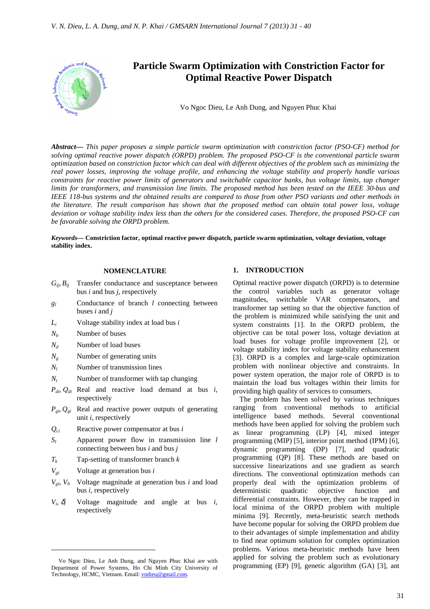

*Abstract***—** *This paper proposes a simple particle swarm optimization with constriction factor (PSO-CF) method for solving optimal reactive power dispatch (ORPD) problem. The proposed PSO-CF is the conventional particle swarm optimization based on constriction factor which can deal with different objectives of the problem such as minimizing the real power losses, improving the voltage profile, and enhancing the voltage stability and properly handle various constraints for reactive power limits of generators and switchable capacitor banks, bus voltage limits, tap changer limits for transformers, and transmission line limits. The proposed method has been tested on the IEEE 30-bus and IEEE 118-bus systems and the obtained results are compared to those from other PSO variants and other methods in the literature. The result comparison has shown that the proposed method can obtain total power loss, voltage deviation or voltage stability index less than the others for the considered cases. Therefore, the proposed PSO-CF can be favorable solving the ORPD problem.*

*Keywords***— Constriction factor, optimal reactive power dispatch, particle swarm optimization, voltage deviation, voltage stability index.**

## **NOMENCLATURE**

- $G_{i}$ <sup>*i*</sup>,  $B_{ii}$  Transfer conductance and susceptance between bus *i* and bus *j*, respectively
- *g<sup>l</sup>* Conductance of branch *l* connecting between buses *i* and *j*
- *L<sup>i</sup>* Voltage stability index at load bus *i*
- $N_b$  Number of buses
- $N_d$  Number of load buses
- *N<sub>g</sub>* Number of generating units
- *N<sup>l</sup>* Number of transmission lines
- *N<sup>t</sup>* Number of transformer with tap changing
- *Pdi, Qdi* Real and reactive load demand at bus *i*, respectively
- $P_{g_i}$ ,  $Q_{g_i}$  Real and reactive power outputs of generating unit *i*, respectively
- *Qci* Reactive power compensator at bus *i*
- *S<sup>l</sup>* Apparent power flow in transmission line *l*  connecting between bus *i* and bus *j*
- *T<sup>k</sup>* Tap-setting of transformer branch *k*
- $V_{qi}$  Voltage at generation bus *i*

 $\overline{a}$ 

- $V_{\varphi i}$ ,  $V_{li}$  Voltage magnitude at generation bus *i* and load bus *i*, respectively
- $V_i$ ,  $\delta_i$ Voltage magnitude and angle at bus  $i$ , respectively

### **1. INTRODUCTION**

Optimal reactive power dispatch (ORPD) is to determine the control variables such as generator voltage magnitudes, switchable VAR compensators, and transformer tap setting so that the objective function of the problem is minimized while satisfying the unit and system constraints [1]. In the ORPD problem, the objective can be total power loss, voltage deviation at load buses for voltage profile improvement [2], or voltage stability index for voltage stability enhancement [3]. ORPD is a complex and large-scale optimization problem with nonlinear objective and constraints. In power system operation, the major role of ORPD is to maintain the load bus voltages within their limits for providing high quality of services to consumers.

The problem has been solved by various techniques ranging from conventional methods to artificial intelligence based methods. Several conventional methods have been applied for solving the problem such as linear programming (LP) [4], mixed integer programming (MIP) [5], interior point method (IPM) [6], dynamic programming (DP) [7], and quadratic programming (QP) [8]. These methods are based on successive linearizations and use gradient as search directions. The conventional optimization methods can properly deal with the optimization problems of deterministic quadratic objective function and differential constraints. However, they can be trapped in local minima of the ORPD problem with multiple minima [9]. Recently, meta-heuristic search methods have become popular for solving the ORPD problem due to their advantages of simple implementation and ability to find near optimum solution for complex optimization problems. Various meta-heuristic methods have been applied for solving the problem such as evolutionary programming (EP) [9], genetic algorithm (GA) [3], ant

Vo Ngoc Dieu, Le Anh Dung, and Nguyen Phuc Khai are with Department of Power Systems, Ho Chi Minh City University of Technology, HCMC, Vietnam. Email: vndieu@gmail.com.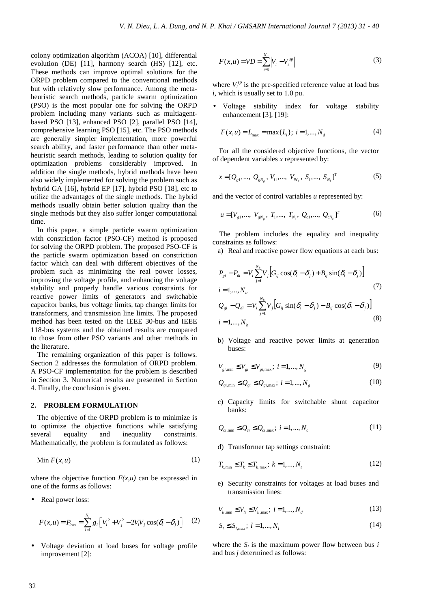colony optimization algorithm (ACOA) [10], differential evolution (DE) [11], harmony search (HS) [12], etc. These methods can improve optimal solutions for the ORPD problem compared to the conventional methods but with relatively slow performance. Among the metaheuristic search methods, particle swarm optimization (PSO) is the most popular one for solving the ORPD problem including many variants such as multiagentbased PSO [13], enhanced PSO [2], parallel PSO [14], comprehensive learning PSO [15], etc. The PSO methods are generally simpler implementation, more powerful search ability, and faster performance than other metaheuristic search methods, leading to solution quality for optimization problems considerably improved. In addition the single methods, hybrid methods have been also widely implemented for solving the problem such as hybrid GA [16], hybrid EP [17], hybrid PSO [18], etc to utilize the advantages of the single methods. The hybrid methods usually obtain better solution quality than the single methods but they also suffer longer computational time.

In this paper, a simple particle swarm optimization with constriction factor (PSO-CF) method is proposed for solving the ORPD problem. The proposed PSO-CF is the particle swarm optimization based on constriction factor which can deal with different objectives of the problem such as minimizing the real power losses, improving the voltage profile, and enhancing the voltage stability and properly handle various constraints for reactive power limits of generators and switchable capacitor banks, bus voltage limits, tap changer limits for transformers, and transmission line limits. The proposed method has been tested on the IEEE 30-bus and IEEE 118-bus systems and the obtained results are compared to those from other PSO variants and other methods in the literature.

The remaining organization of this paper is follows. Section 2 addresses the formulation of ORPD problem. A PSO-CF implementation for the problem is described in Section 3. Numerical results are presented in Section 4. Finally, the conclusion is given.

#### **2. PROBLEM FORMULATION**

The objective of the ORPD problem is to minimize is to optimize the objective functions while satisfying several equality and inequality constraints. Mathematically, the problem is formulated as follows:

$$
\operatorname{Min} F(x, u) \tag{1}
$$

where the objective function  $F(x, u)$  can be expressed in one of the forms as follows:

Real power loss:

$$
F(x, u) = P_{loss} = \sum_{i=1}^{N_i} g_i \left[ V_i^2 + V_j^2 - 2V_i V_j \cos(\delta_i - \delta_j) \right]
$$
 (2)

• Voltage deviation at load buses for voltage profile improvement [2]:

$$
F(x, u) = VD = \sum_{i=1}^{N_d} \left| V_i - V_i^{sp} \right| \tag{3}
$$

where  $V_i^{sp}$  is the pre-specified reference value at load bus *i*, which is usually set to 1.0 pu.

• Voltage stability index for voltage stability enhancement [3], [19]:

$$
F(x, u) = L_{\text{max}} = \max\{L_i\}; \ i = 1, ..., N_d
$$
 (4)

For all the considered objective functions, the vector of dependent variables *x* represented by:

$$
x = [Q_{g1},..., Q_{gN_g}, V_{I1},..., V_{N_d}, S_1,..., S_{N_t}]^T
$$
 (5)

and the vector of control variables *u* represented by:

$$
u = [V_{g1},..., V_{gN_g}, T_1,..., T_{N_t}, Q_{c1},..., Q_{cN_c}]^T
$$
 (6)

The problem includes the equality and inequality constraints as follows:

a) Real and reactive power flow equations at each bus:

$$
P_{gi} - P_{di} = V_i \sum_{j=1}^{N_b} V_j \Big[ G_{ij} \cos(\delta_i - \delta_j) + B_{ij} \sin(\delta_i - \delta_j) \Big]
$$
  
\n
$$
i = 1,...,N_b
$$
  
\n
$$
Q_{gi} - Q_{di} = V_i \sum_{j=1}^{N_b} V_j \Big[ G_{ij} \sin(\delta_i - \delta_j) - B_{ij} \cos(\delta_i - \delta_j) \Big]
$$
  
\n
$$
i = 1,...,N_b
$$
  
\n(8)

b) Voltage and reactive power limits at generation buses:

$$
V_{gi,min} \le V_{gi} \le V_{gi,max}; \ i = 1, ..., N_g
$$
 (9)

$$
Q_{gi,min} \le Q_{gi} \le Q_{gi,max}; i = 1,...,N_g
$$
\n
$$
(10)
$$

c) Capacity limits for switchable shunt capacitor banks:

$$
Q_{ci,min} \le Q_{ci} \le Q_{ci,max}; i = 1,...,N_c
$$
\n
$$
(11)
$$

d) Transformer tap settings constraint:

$$
T_{k,\min} \le T_k \le T_{k,\max}; \ k = 1,...,N_t
$$
\n(12)

e) Security constraints for voltages at load buses and transmission lines:

$$
V_{li, \min} \le V_{li} \le V_{li, \max}; \ i = 1, ..., N_d
$$
 (13)

$$
S_l \le S_{l, \max}; \ l = 1, ..., N_l \tag{14}
$$

where the  $S_l$  is the maximum power flow between bus *i* and bus *j* determined as follows: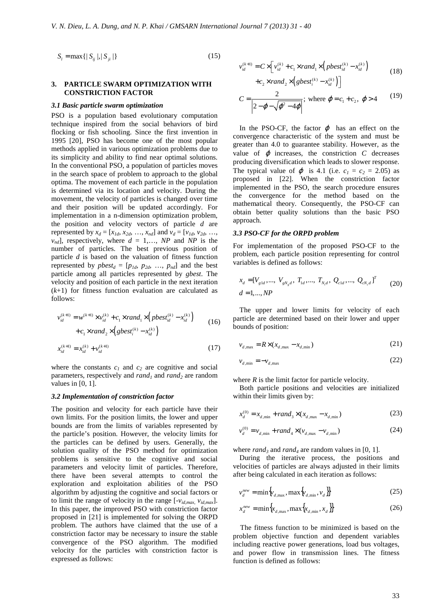$$
S_i = \max\{|S_{ij}|, |S_{ji}|\}\tag{15}
$$

### **3. PARTICLE SWARM OPTIMIZATION WITH CONSTRICTION FACTOR**

#### *3.1 Basic particle swarm optimization*

PSO is a population based evolutionary computation technique inspired from the social behaviors of bird flocking or fish schooling. Since the first invention in 1995 [20], PSO has become one of the most popular methods applied in various optimization problems due to its simplicity and ability to find near optimal solutions. In the conventional PSO, a population of particles moves in the search space of problem to approach to the global optima. The movement of each particle in the population is determined via its location and velocity. During the movement, the velocity of particles is changed over time and their position will be updated accordingly. For implementation in a n-dimension optimization problem, the position and velocity vectors of particle *d* are represented by  $x_d = [x_{1d}, x_{2d}, ..., x_{nd}]$  and  $v_d = [v_{1d}, v_{2d}, ..., v_{nd}]$  $v_{nd}$ , respectively, where  $d = 1,..., NP$  and *NP* is the number of particles. The best previous position of particle *d* is based on the valuation of fitness function represented by  $pbest_d = [p_{1d}, p_{2d}, ..., p_{nd}]$  and the best particle among all particles represented by *gbest*. The velocity and position of each particle in the next iteration (*k*+1) for fitness function evaluation are calculated as follows:

$$
v_{id}^{(k+1)} = w^{(k+1)} \times v_{id}^{(k)} + c_1 \times rand_1 \times \left( pbest_{id}^{(k)} - x_{id}^{(k)} \right) + c_1 \times rand_2 \times \left( gbest_i^{(k)} - x_{id}^{(k)} \right)
$$
(16)

$$
x_{id}^{(k+1)} = x_{id}^{(k)} + \nu_{id}^{(k+1)}
$$
 (17)

where the constants  $c_1$  and  $c_2$  are cognitive and social parameters, respectively and *rand1* and *rand2* are random values in  $[0, 1]$ .

#### *3.2 Implementation of constriction factor*

The position and velocity for each particle have their own limits. For the position limits, the lower and upper bounds are from the limits of variables represented by the particle's position. However, the velocity limits for the particles can be defined by users. Generally, the solution quality of the PSO method for optimization problems is sensitive to the cognitive and social parameters and velocity limit of particles. Therefore, there have been several attempts to control the exploration and exploitation abilities of the PSO algorithm by adjusting the cognitive and social factors or to limit the range of velocity in the range  $[-v_{id,max}, v_{id,max}]$ . In this paper, the improved PSO with constriction factor proposed in [21] is implemented for solving the ORPD problem. The authors have claimed that the use of a constriction factor may be necessary to insure the stable convergence of the PSO algorithm. The modified velocity for the particles with constriction factor is expressed as follows:

$$
v_{id}^{(k+1)} = C \times \left[ v_{id}^{(k)} + c_1 \times rand_1 \times \left( pbest_{id}^{(k)} - x_{id}^{(k)} \right) \right]
$$
 (18)

$$
+c_2 \times rand_2 \times (gbest_i^{(k)} - x_{id}^{(k)})
$$

$$
C = \frac{2}{\left| 2 - \varphi - \sqrt{\varphi^2 - 4\varphi} \right|}; \text{ where } \varphi = c_1 + c_2, \ \varphi > 4 \qquad (19)
$$

In the PSO-CF, the factor  $\varphi$  has an effect on the convergence characteristic of the system and must be greater than 4.0 to guarantee stability. However, as the value of  $\varphi$  increases, the constriction  $C$  decreases producing diversification which leads to slower response. The typical value of  $\varphi$  is 4.1 (i.e.  $c_1 = c_2 = 2.05$ ) as proposed in [22]. When the constriction factor implemented in the PSO, the search procedure ensures the convergence for the method based on the mathematical theory. Consequently, the PSO-CF can obtain better quality solutions than the basic PSO approach.

#### *3.3 PSO-CF for the ORPD problem*

For implementation of the proposed PSO-CF to the problem, each particle position representing for control variables is defined as follows:

$$
x_{d} = [V_{gld}, ..., V_{gN_gd}, T_{1d}, ..., T_{N_d}, Q_{c1d}, ..., Q_{cN_c d}]^{T}
$$
  
(20)  

$$
d = 1, ..., NP
$$

The upper and lower limits for velocity of each particle are determined based on their lower and upper bounds of position:

$$
v_{d,\max} = R \times (x_{d,\max} - x_{d,\min})
$$
\n(21)

$$
v_{d,\min} = -v_{d,\max} \tag{22}
$$

where  $R$  is the limit factor for particle velocity.

Both particle positions and velocities are initialized within their limits given by:

$$
x_d^{(0)} = x_{d, \min} + rand_3 \times (x_{d, \max} - x_{d, \min})
$$
 (23)

$$
v_d^{(0)} = v_{d, \min} + rand_4 \times (v_{d, \max} - v_{d, \min})
$$
 (24)

where  $rand_3$  and  $rand_4$  are random values in [0, 1].

During the iterative process, the positions and velocities of particles are always adjusted in their limits after being calculated in each iteration as follows:

$$
v_d^{new} = \min\{v_{d,\max}, \max\{v_{d,\min}, v_d\}\}\tag{25}
$$

$$
x_d^{new} = \min\left\{x_{d,\max}, \max\left\{x_{d,\min}, x_d\right\}\right\} \tag{26}
$$

The fitness function to be minimized is based on the problem objective function and dependent variables including reactive power generations, load bus voltages, and power flow in transmission lines. The fitness function is defined as follows: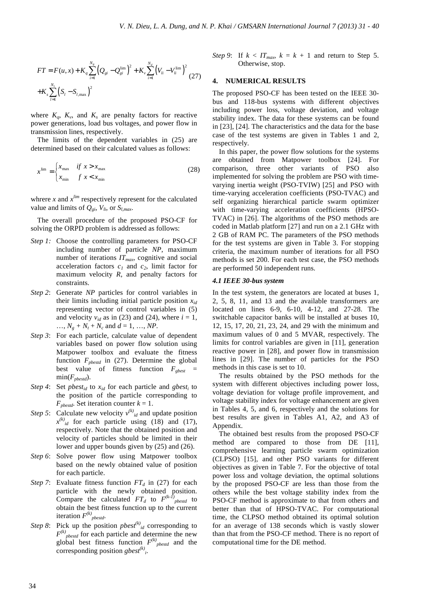$$
FT = F(u, x) + K_q \sum_{i=1}^{N_s} (Q_{si} - Q_{si}^{\text{lim}})^2 + K_v \sum_{i=1}^{N_d} (V_{li} - V_{li}^{\text{lim}})^2
$$
  
+
$$
K_s \sum_{l=1}^{N_l} (S_l - S_{l, \text{max}})^2
$$
 (27)

where  $K_q$ ,  $K_v$ , and  $K_s$  are penalty factors for reactive power generations, load bus voltages, and power flow in transmission lines, respectively.

The limits of the dependent variables in (25) are determined based on their calculated values as follows:

$$
x^{\lim} = \begin{cases} x_{\max} & \text{if } x > x_{\max} \\ x_{\min} & \text{if } x < x_{\min} \end{cases} \tag{28}
$$

whrere *x* and  $x^{lim}$  respectively represent for the calculated value and limits of  $Q_{gi}$ ,  $V_{li}$ , or  $S_{l,max}$ .

The overall procedure of the proposed PSO-CF for solving the ORPD problem is addressed as follows:

- *Step 1:* Choose the controlling parameters for PSO-CF including number of particle *NP*, maximum number of iterations *ITmax*, cognitive and social acceleration factors  $c_1$  and  $c_2$ , limit factor for maximum velocity *R*, and penalty factors for constraints.
- *Step 2*: Generate *NP* particles for control variables in their limits including initial particle position *xid* representing vector of control variables in (5) and velocity  $v_{id}$  as in (23) and (24), where  $i = 1$ , ...,  $N_g + N_t + N_c$  and  $d = 1, ..., NP$ .
- *Step 3*: For each particle, calculate value of dependent variables based on power flow solution using Matpower toolbox and evaluate the fitness function *Fpbestd* in (27). Determine the global best value of fitness function  $F_{gbest}$  = min(*Fpbestd*).
- *Step 4*: Set *pbest<sub>id</sub>* to  $x_{id}$  for each particle and *gbest<sub>i</sub>* to the position of the particle corresponding to  $F_{\text{pbestd}}$ . Set iteration counter  $k = 1$ .
- *Step 5*: Calculate new velocity  $v^{(k)}_{id}$  and update position  $x^{(k)}$  *id* for each particle using (18) and (17), respectively. Note that the obtained position and velocity of particles should be limited in their lower and upper bounds given by (25) and (26).
- *Step 6*: Solve power flow using Matpower toolbox based on the newly obtained value of position for each particle.
- *Step 7*: Evaluate fitness function  $FT<sub>d</sub>$  in (27) for each particle with the newly obtained position. Compare the calculated  $FT_d$  to  $F^{(k-1)}_{\text{pbestd}}$  to obtain the best fitness function up to the current iteration  $F^{(k)}_{\text{pbestd}}$ .
- *Step 8*: Pick up the position *pbest*<sup>(k)</sup><sub>id</sub> corresponding to  $F^{(k)}_{\text{pbestd}}$  for each particle and determine the new global best fitness function  $F^{(k)}_{\text{pbestd}}$  and the corresponding position *gbest(k) i* .

*Step 9*: If  $k < IT_{max}$ ,  $k = k + 1$  and return to Step 5. Otherwise, stop.

#### **4. NUMERICAL RESULTS**

The proposed PSO-CF has been tested on the IEEE 30 bus and 118-bus systems with different objectives including power loss, voltage deviation, and voltage stability index. The data for these systems can be found in [23], [24]. The characteristics and the data for the base case of the test systems are given in Tables 1 and 2, respectively.

In this paper, the power flow solutions for the systems are obtained from Matpower toolbox [24]. For comparison, three other variants of PSO also implemented for solving the problem are PSO with timevarying inertia weight (PSO-TVIW) [25] and PSO with time-varying acceleration coefficients (PSO-TVAC) and self organizing hierarchical particle swarm optimizer with time-varying acceleration coefficients (HPSO-TVAC) in [26]. The algorithms of the PSO methods are coded in Matlab platform [27] and run on a 2.1 GHz with 2 GB of RAM PC. The parameters of the PSO methods for the test systems are given in Table 3. For stopping criteria, the maximum number of iterations for all PSO methods is set 200. For each test case, the PSO methods are performed 50 independent runs.

### *4.1 IEEE 30-bus system*

In the test system, the generators are located at buses 1, 2, 5, 8, 11, and 13 and the available transformers are located on lines 6-9, 6-10, 4-12, and 27-28. The switchable capacitor banks will be installed at buses 10, 12, 15, 17, 20, 21, 23, 24, and 29 with the minimum and maximum values of 0 and 5 MVAR, respectively. The limits for control variables are given in [11], generation reactive power in [28], and power flow in transmission lines in [29]. The number of particles for the PSO methods in this case is set to 10.

The results obtained by the PSO methods for the system with different objectives including power loss, voltage deviation for voltage profile improvement, and voltage stability index for voltage enhancement are given in Tables 4, 5, and 6, respectively and the solutions for best results are given in Tables A1, A2, and A3 of Appendix.

The obtained best results from the proposed PSO-CF method are compared to those from DE [11], comprehensive learning particle swarm optimization (CLPSO) [15], and other PSO variants for different objectives as given in Table 7. For the objective of total power loss and voltage deviation, the optimal solutions by the proposed PSO-CF are less than those from the others while the best voltage stability index from the PSO-CF method is approximate to that from others and better than that of HPSO-TVAC. For computational time, the CLPSO method obtained its optimal solution for an average of 138 seconds which is vastly slower than that from the PSO-CF method. There is no report of computational time for the DE method.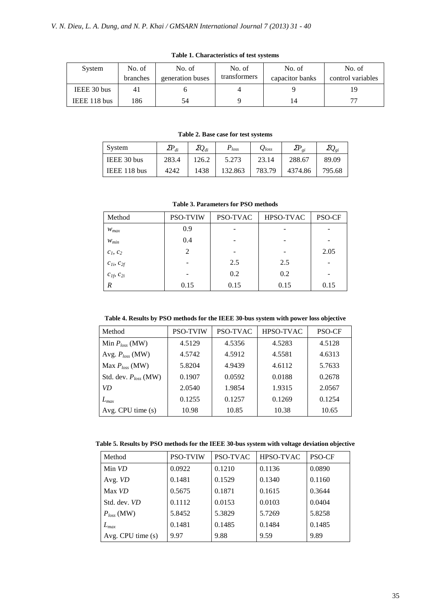| System       | No. of<br>branches | No. of<br>generation buses | No. of<br>transformers | No. of<br>capacitor banks | No. of<br>control variables |
|--------------|--------------------|----------------------------|------------------------|---------------------------|-----------------------------|
| IEEE 30 bus  | 4 <sub>1</sub>     |                            |                        |                           | 19                          |
| IEEE 118 bus | 186                | 54                         |                        | 14                        |                             |

**Table 1. Characteristics of test systems** 

**Table 2. Base case for test systems** 

| System       | $\varSigma\!P_{di}$ | $\varSigma Q_{di}$ | $P_{loss}$ | $\mathcal{Q}_{loss}$ | ${\it ZP}_{\it ei}$ | $\varSigma Q_{g i}$ |
|--------------|---------------------|--------------------|------------|----------------------|---------------------|---------------------|
| IEEE 30 bus  | 283.4               | 126.2              | 5.273      | 23.14                | 288.67              | 89.09               |
| IEEE 118 bus | 4242                | 1438               | 132.863    | 783.79               | 4374.86             | 795.68              |

**Table 3. Parameters for PSO methods** 

| Method              | <b>PSO-TVIW</b> | PSO-TVAC | HPSO-TVAC | PSO-CF |
|---------------------|-----------------|----------|-----------|--------|
| $W_{max}$           | 0.9             |          |           |        |
| $W_{min}$           | 0.4             |          |           |        |
| $c_1, c_2$          | 2               |          |           | 2.05   |
| $c_{1i}, c_{2f}$    |                 | 2.5      | 2.5       |        |
| $c_{1f}$ , $c_{2i}$ |                 | 0.2      | 0.2       |        |
| R                   | 0.15            | 0.15     | 0.15      | 0.15   |

**Table 4. Results by PSO methods for the IEEE 30-bus system with power loss objective** 

| Method                    | <b>PSO-TVIW</b> | PSO-TVAC | HPSO-TVAC | PSO-CF |
|---------------------------|-----------------|----------|-----------|--------|
| Min $P_{loss}$ (MW)       | 4.5129          | 4.5356   | 4.5283    | 4.5128 |
| Avg. $P_{loss}$ (MW)      | 4.5742          | 4.5912   | 4.5581    | 4.6313 |
| Max $P_{loss}$ (MW)       | 5.8204          | 4.9439   | 4.6112    | 5.7633 |
| Std. dev. $P_{loss}$ (MW) | 0.1907          | 0.0592   | 0.0188    | 0.2678 |
| VD.                       | 2.0540          | 1.9854   | 1.9315    | 2.0567 |
| $L_{max}$                 | 0.1255          | 0.1257   | 0.1269    | 0.1254 |
| Avg. CPU time $(s)$       | 10.98           | 10.85    | 10.38     | 10.65  |

**Table 5. Results by PSO methods for the IEEE 30-bus system with voltage deviation objective** 

| Method           | <b>PSO-TVIW</b> | <b>PSO-TVAC</b> | <b>HPSO-TVAC</b> | <b>PSO-CF</b> |
|------------------|-----------------|-----------------|------------------|---------------|
| Min VD           | 0.0922          | 0.1210          | 0.1136           | 0.0890        |
| Avg. VD          | 0.1481          | 0.1529          | 0.1340           | 0.1160        |
| Max VD           | 0.5675          | 0.1871          | 0.1615           | 0.3644        |
| Std. dev. VD     | 0.1112          | 0.0153          | 0.0103           | 0.0404        |
| $P_{loss}$ (MW)  | 5.8452          | 5.3829          | 5.7269           | 5.8258        |
| $L_{max}$        | 0.1481          | 0.1485          | 0.1484           | 0.1485        |
| Avg. CPU time(s) | 9.97            | 9.88            | 9.59             | 9.89          |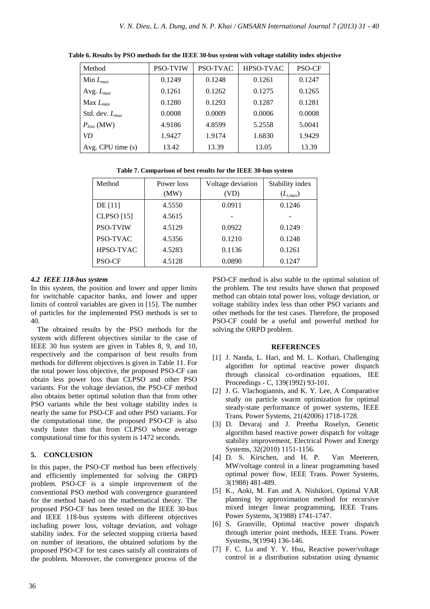| Method              | <b>PSO-TVIW</b> | PSO-TVAC | HPSO-TVAC | <b>PSO-CF</b> |
|---------------------|-----------------|----------|-----------|---------------|
| Min $L_{max}$       | 0.1249          | 0.1248   | 0.1261    | 0.1247        |
| Avg. $L_{max}$      | 0.1261          | 0.1262   | 0.1275    | 0.1265        |
| Max $L_{max}$       | 0.1280          | 0.1293   | 0.1287    | 0.1281        |
| Std. dev. $L_{max}$ | 0.0008          | 0.0009   | 0.0006    | 0.0008        |
| $P_{loss}$ (MW)     | 4.9186          | 4.8599   | 5.2558    | 5.0041        |
| <b>VD</b>           | 1.9427          | 1.9174   | 1.6830    | 1.9429        |
| Avg. CPU time $(s)$ | 13.42           | 13.39    | 13.05     | 13.39         |

**Table 6. Results by PSO methods for the IEEE 30-bus system with voltage stability index objective** 

|  |  | Table 7. Comparison of best results for the IEEE 30-bus system |
|--|--|----------------------------------------------------------------|
|--|--|----------------------------------------------------------------|

| Method            | Power loss | Voltage deviation | Stability index |
|-------------------|------------|-------------------|-----------------|
|                   | (MW)       | (VD)              | $(L_{i,max})$   |
| DE [11]           | 4.5550     | 0.0911            | 0.1246          |
| <b>CLPSO</b> [15] | 4.5615     |                   |                 |
| <b>PSO-TVIW</b>   | 4.5129     | 0.0922            | 0.1249          |
| PSO-TVAC          | 4.5356     | 0.1210            | 0.1248          |
| HPSO-TVAC         | 4.5283     | 0.1136            | 0.1261          |
| <b>PSO-CF</b>     | 4.5128     | 0.0890            | 0.1247          |

### *4.2 IEEE 118-bus system*

In this system, the position and lower and upper limits for switchable capacitor banks, and lower and upper limits of control variables are given in [15]. The number of particles for the implemented PSO methods is set to 40.

The obtained results by the PSO methods for the system with different objectives similar to the case of IEEE 30 bus system are given in Tables 8, 9, and 10, respectively and the comparison of best results from methods for different objectives is given in Table 11. For the total power loss objective, the proposed PSO-CF can obtain less power loss than CLPSO and other PSO variants. For the voltage deviation, the PSO-CF method also obtains better optimal solution than that from other PSO variants while the best voltage stability index is nearly the same for PSO-CF and other PSO variants. For the computational time, the proposed PSO-CF is also vastly faster than that from CLPSO whose average computational time for this system is 1472 seconds.

# **5. CONCLUSION**

In this paper, the PSO-CF method has been effectively and efficiently implemented for solving the ORPD problem. PSO-CF is a simple improvement of the conventional PSO method with convergence guaranteed for the method based on the mathematical theory. The proposed PSO-CF has been tested on the IEEE 30-bus and IEEE 118-bus systems with different objectives including power loss, voltage deviation, and voltage stability index. For the selected stopping criteria based on number of iterations, the obtained solutions by the proposed PSO-CF for test cases satisfy all constraints of the problem. Moreover, the convergence process of the

PSO-CF method is also stable to the optimal solution of the problem. The test results have shown that proposed method can obtain total power loss, voltage deviation, or voltage stability index less than other PSO variants and other methods for the test cases. Therefore, the proposed PSO-CF could be a useful and powerful method for solving the ORPD problem.

#### **REFERENCES**

- [1] J. Nanda, L. Hari, and M. L. Kothari, Challenging algorithm for optimal reactive power dispatch through classical co-ordination equations, IEE Proceedings - C, 139(1992) 93-101.
- [2] J. G. Vlachogiannis, and K. Y. Lee, A Comparative study on particle swarm optimization for optimal steady-state performance of power systems, IEEE Trans. Power Systems, 21(42006) 1718-1728.
- [3] D. Devaraj and J. Preetha Roselyn, Genetic algorithm based reactive power dispatch for voltage stability improvement, Electrical Power and Energy Systems, 32(2010) 1151-1156.
- [4] D. S. Kirschen, and H. P. Van Meeteren, MW/voltage control in a linear programming based optimal power flow, IEEE Trans. Power Systems, 3(1988) 481-489.
- [5] K., Aoki, M. Fan and A. Nishikori, Optimal VAR planning by approximation method for recursive mixed integer linear programming, IEEE Trans. Power Systems, 3(1988) 1741-1747.
- [6] S. Granville, Optimal reactive power dispatch through interior point methods, IEEE Trans. Power Systems, 9(1994) 136-146.
- [7] F. C. Lu and Y. Y. Hsu, Reactive power/voltage control in a distribution substation using dynamic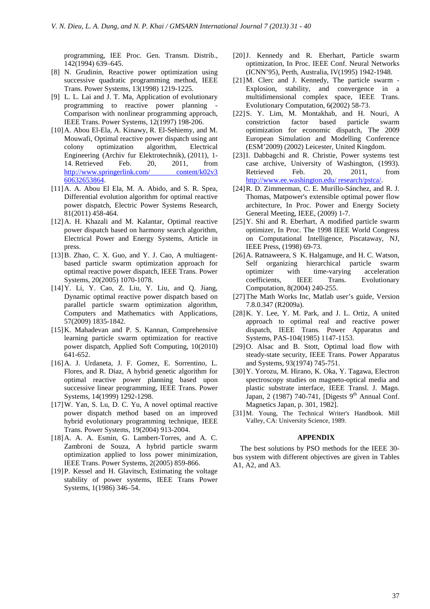programming, IEE Proc. Gen. Transm. Distrib., 142(1994) 639–645.

- [8] N. Grudinin, Reactive power optimization using successive quadratic programming method, IEEE Trans. Power Systems, 13(1998) 1219-1225.
- [9] L. L. Lai and J. T. Ma, Application of evolutionary programming to reactive power planning Comparison with nonlinear programming approach, IEEE Trans. Power Systems, 12(1997) 198-206.
- [10]A. Abou El-Ela, A. Kinawy, R. El-Sehiemy, and M. Mouwafi, Optimal reactive power dispatch using ant colony optimization algorithm, Electrical Engineering (Archiv fur Elektrotechnik), (2011), 1- 14. Retrieved Feb. 20, 2011, from http://www.springerlink.com/ content/k02v3 60632653864.
- [11] A. A. Abou El Ela, M. A. Abido, and S. R. Spea, Differential evolution algorithm for optimal reactive power dispatch, Electric Power Systems Research, 81(2011) 458-464.
- [12]A. H. Khazali and M. Kalantar, Optimal reactive power dispatch based on harmony search algorithm, Electrical Power and Energy Systems, Article in press.
- [13]B. Zhao, C. X. Guo, and Y. J. Cao, A multiagentbased particle swarm optimization approach for optimal reactive power dispatch, IEEE Trans. Power Systems, 20(2005) 1070-1078.
- [14]Y. Li, Y. Cao, Z. Liu, Y. Liu, and Q. Jiang, Dynamic optimal reactive power dispatch based on parallel particle swarm optimization algorithm, Computers and Mathematics with Applications, 57(2009) 1835-1842.
- [15]K. Mahadevan and P. S. Kannan, Comprehensive learning particle swarm optimization for reactive power dispatch, Applied Soft Computing, 10(2010) 641-652.
- [16]A. J. Urdaneta, J. F. Gomez, E. Sorrentino, L. Flores, and R. Diaz, A hybrid genetic algorithm for optimal reactive power planning based upon successive linear programming, IEEE Trans. Power Systems, 14(1999) 1292-1298.
- [17]W. Yan, S. Lu, D. C. Yu, A novel optimal reactive power dispatch method based on an improved hybrid evolutionary programming technique, IEEE Trans. Power Systems, 19(2004) 913-2004.
- [18] A. A. A. Esmin, G. Lambert-Torres, and A. C. Zambroni de Souza, A hybrid particle swarm optimization applied to loss power minimization, IEEE Trans. Power Systems, 2(2005) 859-866.
- [19]P. Kessel and H. Glavitsch, Estimating the voltage stability of power systems, IEEE Trans Power Systems, 1(1986) 346–54.
- [20]J. Kennedy and R. Eberhart, Particle swarm optimization, In Proc. IEEE Conf. Neural Networks (ICNN'95), Perth, Australia, IV(1995) 1942-1948.
- [21]M. Clerc and J. Kennedy, The particle swarm Explosion, stability, and convergence in a multidimensional complex space, IEEE Trans. Evolutionary Computation, 6(2002) 58-73.
- [22]S. Y. Lim, M. Montakhab, and H. Nouri, A constriction factor based particle swarm optimization for economic dispatch, The 2009 European Simulation and Modelling Conference (ESM'2009) (2002) Leicester, United Kingdom.
- [23]I. Dabbagchi and R. Christie, Power systems test case archive, University of Washington, (1993). Retrieved Feb. 20, 2011, from http://www.ee.washington.edu/ research/pstca/.
- [24]R. D. Zimmerman, C. E. Murillo-Sánchez, and R. J. Thomas, Matpower's extensible optimal power flow architecture, In Proc. Power and Energy Society General Meeting, IEEE, (2009) 1-7.
- [25]Y. Shi and R. Eberhart, A modified particle swarm optimizer, In Proc. The 1998 IEEE World Congress on Computational Intelligence, Piscataway, NJ, IEEE Press, (1998) 69-73.
- [26]A. Ratnaweera, S K. Halgamuge, and H. C. Watson, Self organizing hierarchical particle swarm optimizer with time-varying acceleration coefficients, IEEE Trans. Evolutionary Computation, 8(2004) 240-255.
- [27]The Math Works Inc, Matlab user's guide, Version 7.8.0.347 (R2009a).
- [28]K. Y. Lee, Y. M. Park, and J. L. Ortiz, A united approach to optimal real and reactive power dispatch, IEEE Trans. Power Apparatus and Systems, PAS-104(1985) 1147-1153.
- [29]O. Alsac and B. Stott, Optimal load flow with steady-state security, IEEE Trans. Power Apparatus and Systems, 93(1974) 745-751.
- [30]Y. Yorozu, M. Hirano, K. Oka, Y. Tagawa, Electron spectroscopy studies on magneto-optical media and plastic substrate interface, IEEE Transl. J. Magn. Japan, 2 (1987) 740-741, [Digests 9<sup>th</sup> Annual Conf. Magnetics Japan, p. 301, 1982].
- [31]M. Young, The Technical Writer's Handbook. Mill Valley, CA: University Science, 1989.

#### **APPENDIX**

The best solutions by PSO methods for the IEEE 30 bus system with different objectives are given in Tables A1, A2, and A3.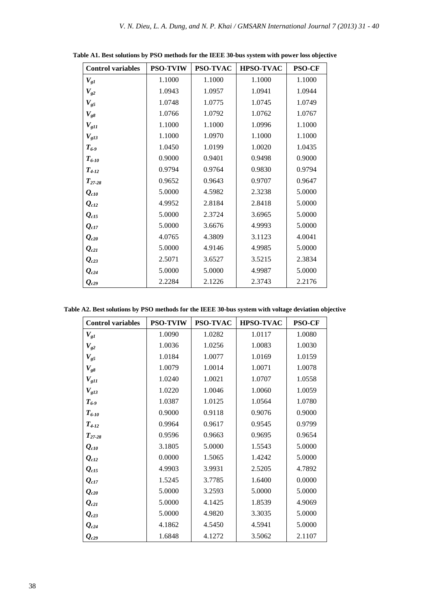| <b>Control variables</b>           | <b>PSO-TVIW</b> | PSO-TVAC | <b>HPSO-TVAC</b> | <b>PSO-CF</b> |
|------------------------------------|-----------------|----------|------------------|---------------|
| $V_{gl}$                           | 1.1000          | 1.1000   | 1.1000           | 1.1000        |
| $V_{g2}$                           | 1.0943          | 1.0957   | 1.0941           | 1.0944        |
| $V_{g5}$                           | 1.0748          | 1.0775   | 1.0745           | 1.0749        |
| $V_{g8}$                           | 1.0766          | 1.0792   | 1.0762           | 1.0767        |
| $V_{gl1}$                          | 1.1000          | 1.1000   | 1.0996           | 1.1000        |
| $V_{g13}$                          | 1.1000          | 1.0970   | 1.1000           | 1.1000        |
| $T_{6-9}$                          | 1.0450          | 1.0199   | 1.0020           | 1.0435        |
| $T_{6-10}$                         | 0.9000          | 0.9401   | 0.9498           | 0.9000        |
| $T_{4-12}$                         | 0.9794          | 0.9764   | 0.9830           | 0.9794        |
| $T_{27-28}$                        | 0.9652          | 0.9643   | 0.9707           | 0.9647        |
| $Q_{c10}$                          | 5.0000          | 4.5982   | 2.3238           | 5.0000        |
| $\mathbf{Q}_{c12}$                 | 4.9952          | 2.8184   | 2.8418           | 5.0000        |
| $\varrho_{\scriptscriptstyle cl5}$ | 5.0000          | 2.3724   | 3.6965           | 5.0000        |
| $\varrho_{\scriptscriptstyle c17}$ | 5.0000          | 3.6676   | 4.9993           | 5.0000        |
| $\mathbf{Q}_{c20}$                 | 4.0765          | 4.3809   | 3.1123           | 4.0041        |
| $\mathbf{Q}_{c2I}$                 | 5.0000          | 4.9146   | 4.9985           | 5.0000        |
| $Q_{c23}$                          | 2.5071          | 3.6527   | 3.5215           | 2.3834        |
| $Q_{c24}$                          | 5.0000          | 5.0000   | 4.9987           | 5.0000        |
| $\mathbf{Q}_{c29}$                 | 2.2284          | 2.1226   | 2.3743           | 2.2176        |

**Table A1. Best solutions by PSO methods for the IEEE 30-bus system with power loss objective** 

|  |  |  | Table A2. Best solutions by PSO methods for the IEEE 30-bus system with voltage deviation objective |
|--|--|--|-----------------------------------------------------------------------------------------------------|
|  |  |  |                                                                                                     |

| <b>Control variables</b> | <b>PSO-TVIW</b> | <b>PSO-TVAC</b> | <b>HPSO-TVAC</b> | <b>PSO-CF</b> |
|--------------------------|-----------------|-----------------|------------------|---------------|
| $V_{gl}$                 | 1.0090          | 1.0282          | 1.0117           | 1.0080        |
| $V_{g2}$                 | 1.0036          | 1.0256          | 1.0083           | 1.0030        |
| $V_{g5}$                 | 1.0184          | 1.0077          | 1.0169           | 1.0159        |
| $V_{g8}$                 | 1.0079          | 1.0014          | 1.0071           | 1.0078        |
| $V_{gl1}$                | 1.0240          | 1.0021          | 1.0707           | 1.0558        |
| $V_{g13}$                | 1.0220          | 1.0046          | 1.0060           | 1.0059        |
| $T_{6.9}$                | 1.0387          | 1.0125          | 1.0564           | 1.0780        |
| $T_{6-10}$               | 0.9000          | 0.9118          | 0.9076           | 0.9000        |
| $T_{4-12}$               | 0.9964          | 0.9617          | 0.9545           | 0.9799        |
| $T_{27-28}$              | 0.9596          | 0.9663          | 0.9695           | 0.9654        |
| $Q_{c10}$                | 3.1805          | 5.0000          | 1.5543           | 5.0000        |
| $Q_{c12}$                | 0.0000          | 1.5065          | 1.4242           | 5.0000        |
| $\mathbf{Q}_{c15}$       | 4.9903          | 3.9931          | 2.5205           | 4.7892        |
| $Q_{c17}$                | 1.5245          | 3.7785          | 1.6400           | 0.0000        |
| $\mathbf{Q}_{c20}$       | 5.0000          | 3.2593          | 5.0000           | 5.0000        |
| $Q_{c21}$                | 5.0000          | 4.1425          | 1.8539           | 4.9069        |
| $\mathbf{Q}_{c23}$       | 5.0000          | 4.9820          | 3.3035           | 5.0000        |
| $Q_{c24}$                | 4.1862          | 4.5450          | 4.5941           | 5.0000        |
| $\mathbf{Q}_{c29}$       | 1.6848          | 4.1272          | 3.5062           | 2.1107        |